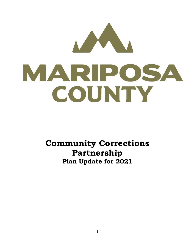

**Community Corrections Partnership Plan Update for 2021**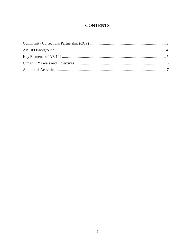# **CONTENTS**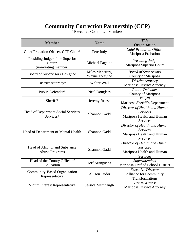# **Community Correction Partnership (CCP)**

| *Executive Committee Members |  |
|------------------------------|--|
|                              |  |

| <b>Member</b>                                                       | <b>Name</b>                       | <b>Title</b><br>Organization                                                             |
|---------------------------------------------------------------------|-----------------------------------|------------------------------------------------------------------------------------------|
| Chief Probation Officer, CCP Chair*                                 | Pete Judy                         | <b>Chief Probation Officer</b><br>Mariposa Probation                                     |
| Presiding Judge of the Superior<br>$Contr^*$<br>(non-voting member) | Michael Fagalde                   | <b>Presiding Judge</b><br>Mariposa Superior Court                                        |
| Board of Supervisors Designee                                       | Miles Menetrey,<br>Wayne Forsythe | <b>Board of Supervisors</b><br>County of Mariposa                                        |
| District Attorney*                                                  | Walter Wall                       | <b>District Attorney</b><br>Mariposa District Attorney                                   |
| Public Defender*                                                    | <b>Neal Douglass</b>              | Public Defender<br>County of Mariposa                                                    |
| Sheriff*                                                            | Jeremy Briese                     | Sheriff<br>Mariposa Sheriff's Department                                                 |
| <b>Head of Department Social Services</b><br>Services*              | <b>Shannon Gadd</b>               | Director of Health and Human<br><b>Services</b><br>Mariposa Health and Human<br>Services |
| Head of Department of Mental Health                                 | Shannon Gadd                      | Director of Health and Human<br><b>Services</b><br>Mariposa Health and Human<br>Services |
| <b>Head of Alcohol and Substance</b><br><b>Abuse Programs</b>       | <b>Shannon Gadd</b>               | Director of Health and Human<br><b>Services</b><br>Mariposa Health and Human<br>Services |
| Head of the County Office of<br>Education                           | Jeff Aranguena                    | Superintendent<br>Mariposa Unified School District                                       |
| Community-Based Organization<br>Representative                      | <b>Allison Tudor</b>              | <b>Executive Director</b><br>Alliance for Community<br>Transformations                   |
| Victim Interest Representative                                      | Jessica Memnaugh                  | Victim-Witness<br><b>Mariposa District Attorney</b>                                      |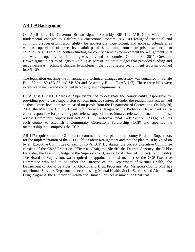## <span id="page-3-0"></span>**AB 109 Background**

On April 4, 2011, Governor Brown signed Assembly Bill 109 (AB 109), which made fundamental changes to California's correctional system. AB 109 realigned custodial and community supervision responsibility for non-serious, non-violent, and non-sex offenders, as well as supervision of lower level adult parolees returning from state prison sentences to counties. AB 109 did not contain funding for county agencies to implement the realignment shift and was not operative until funding was provided for counties. On June 30, 2011, Governor Brown signed a series of legislative bills as part of the State budget that provided funding and made necessary technical changes to implement the public safety realignment program outlined in AB 109.

The legislation enacting the financing and technical changes necessary was contained in Senate Bills 87 and 89 (SB 87 and SB 89) and Assembly Bill 117 (AB 117). These three bills were extensive in nature and contained two designation requirements.

By August 1, 2011, Boards of Supervisors had to designate the county entity responsible for providing post-release supervision to local inmates sentenced under the realignment act, as well as those lower level inmates released on parole from the Department of Corrections. On July 26, 2011, the Mariposa County Board of Supervisors designated the Probation Department as the entity responsible for providing post-release supervision to inmates released pursuant to the Postrelease Community Supervision Act of 2011. California Penal Code Section 1230(b) requires each county to establish a Community Corrections Partnership (CCP) and specifies the membership that comprises the CCP.

AB 117 requires that the CCP must recommend a local plan to the county Board of Supervisors for the implementation of the 2011 Public Safety Realignment and that the plan must be voted on by an Executive Committee of each county's CCP. By statute, the current Executive Committee consists of the Chief Probation Officer as Chair, the Sheriff, the District Attorney, the Public Defender, the Presiding Judge of the Superior Court, and a local Chief of Police (if applicable). The Board of Supervisors was required to appoint the final member of the CCP Executive Committee who had to be either the Director of the Department of Mental Health, the Department of Social Services, or Alcohol and Drug Programs. As Mariposa County only has one Human Services Department, encompassing Mental Health, Social Services and Alcohol and Drug Programs, the Director of Health and Human Services assumed the final seat.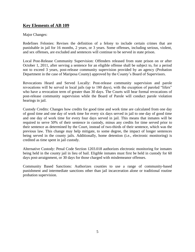# <span id="page-4-0"></span>**Key Elements of AB 109**

#### Major Changes:

Redefines Felonies: Revises the definition of a felony to include certain crimes that are punishable in jail for 16 months, 2 years, or 3 years. Some offenses, including serious, violent, and sex offenses, are excluded and sentences will continue to be served in state prison.

Local Post-Release Community Supervision: Offenders released from state prison on or after October 1, 2011, after serving a sentence for an eligible offense shall be subject to, for a period not to exceed 3 years, post-release community supervision provided by an agency (Probation Department in the case of Mariposa County) approved by the County's Board of Supervisors.

Revocations Heard and Served Locally: Post-release community supervision and parole revocations will be served in local jails (up to 180 days), with the exception of paroled "lifers" who have a revocation term of greater than 30 days. The Courts will hear formal revocations of post-release community supervision while the Board of Parole will conduct parole violation hearings in jail.

Custody Credits: Changes how credits for good time and work time are calculated from one day of good time and one day of work time for every six days served in jail to one day of good time and one day of work time for every four days served in jail. This means that inmates will be required to serve 50% of their sentence in custody, minus any credits for time served prior to their sentence as determined by the Court, instead of two-thirds of their sentence, which was the previous law. This change may help mitigate, to some degree, the impact of longer sentences being served in the county jails. Additionally, home detention (i.e., electronic monitoring) is credited as time spent in jail custody.

Alternative Custody: Penal Code Section 1203.018 authorizes electronic monitoring for inmates being held in the county jail in lieu of bail. Eligible inmates must first be held in custody for 60 days post-arraignment, or 30 days for those charged with misdemeanor offenses.

Community Based Sanctions: Authorizes counties to use a range of community-based punishment and intermediate sanctions other than jail incarceration alone or traditional routine probation supervision.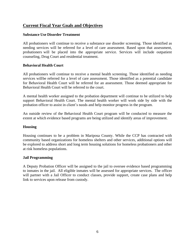## **Current Fiscal Year Goals and Objectives**

#### **Substance Use Disorder Treatment**

All probationers will continue to receive a substance use disorder screening. Those identified as needing services will be referred for a level of care assessment. Based upon that assessment, probationers will be placed into the appropriate service. Services will include outpatient counseling, Drug Court and residential treatment.

#### **Behavioral Health Court**

All probationers will continue to receive a mental health screening. Those identified as needing services willbe referred for a level of care assessment. Those identified as a potential candidate for Behavioral Health Court will be referred for an assessment. Those deemed appropriate for Behavioral Health Court will be referred to the court.

A mental health worker assigned to the probation department will continue to be utilized to help support Behavioral Health Court. The mental health worker will work side by side with the probation officer to assist in client's needs and help monitor progress in the program.

An outside review of the Behavioral Health Court program will be conducted to measure the extent at which evidence based programs are being utilized and identify areas of improvement.

#### **Housing**

Housing continues to be a problem in Mariposa County. While the CCP has contracted with community based organizations for homeless shelters and other services, additional options will be explored to address short and long term housing solutions for homeless probationers and other at risk homeless populations.

#### **Jail Programming**

A Deputy Probation Officer will be assigned to the jail to oversee evidence based programming to inmates in the jail. All eligible inmates will be assessed for appropriate services. The officer will partner with a Jail Officer to conduct classes, provide support, create case plans and help link to services upon release from custody.